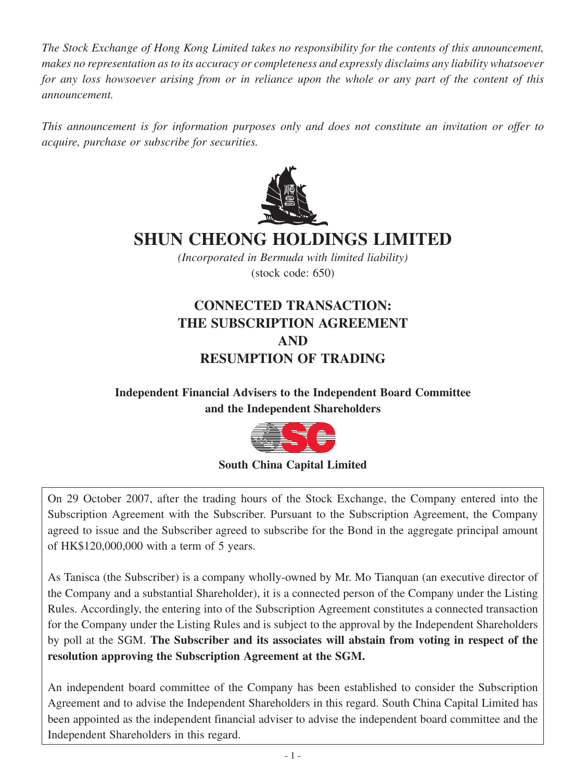*The Stock Exchange of Hong Kong Limited takes no responsibility for the contents of this announcement, makes no representation as to its accuracy or completeness and expressly disclaims any liability whatsoever for any loss howsoever arising from or in reliance upon the whole or any part of the content of this announcement.*

*This announcement is for information purposes only and does not constitute an invitation or offer to acquire, purchase or subscribe for securities.*



# **SHUN CHEONG HOLDINGS LIMITED**

*(Incorporated in Bermuda with limited liability)* (stock code: 650)

## **CONNECTED TRANSACTION: THE SUBSCRIPTION AGREEMENT AND RESUMPTION OF TRADING**

## **Independent Financial Advisers to the Independent Board Committee and the Independent Shareholders**



## **South China Capital Limited**

On 29 October 2007, after the trading hours of the Stock Exchange, the Company entered into the Subscription Agreement with the Subscriber. Pursuant to the Subscription Agreement, the Company agreed to issue and the Subscriber agreed to subscribe for the Bond in the aggregate principal amount of HK\$120,000,000 with a term of 5 years.

As Tanisca (the Subscriber) is a company wholly-owned by Mr. Mo Tianquan (an executive director of the Company and a substantial Shareholder), it is a connected person of the Company under the Listing Rules. Accordingly, the entering into of the Subscription Agreement constitutes a connected transaction for the Company under the Listing Rules and is subject to the approval by the Independent Shareholders by poll at the SGM. **The Subscriber and its associates will abstain from voting in respect of the resolution approving the Subscription Agreement at the SGM.** 

An independent board committee of the Company has been established to consider the Subscription Agreement and to advise the Independent Shareholders in this regard. South China Capital Limited has been appointed as the independent financial adviser to advise the independent board committee and the Independent Shareholders in this regard.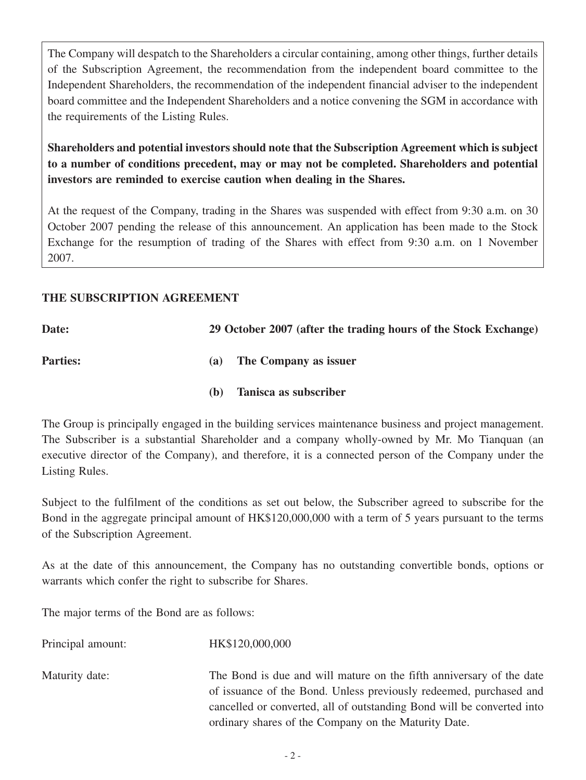The Company will despatch to the Shareholders a circular containing, among other things, further details of the Subscription Agreement, the recommendation from the independent board committee to the Independent Shareholders, the recommendation of the independent financial adviser to the independent board committee and the Independent Shareholders and a notice convening the SGM in accordance with the requirements of the Listing Rules.

**Shareholders and potential investors should note that the Subscription Agreement which is subject to a number of conditions precedent, may or may not be completed. Shareholders and potential investors are reminded to exercise caution when dealing in the Shares.**

At the request of the Company, trading in the Shares was suspended with effect from 9:30 a.m. on 30 October 2007 pending the release of this announcement. An application has been made to the Stock Exchange for the resumption of trading of the Shares with effect from 9:30 a.m. on 1 November 2007.

#### **THE SUBSCRIPTION AGREEMENT**

**Date: 29 October 2007 (after the trading hours of the Stock Exchange) Parties: (a) The Company as issuer (b) Tanisca as subscriber**

The Group is principally engaged in the building services maintenance business and project management. The Subscriber is a substantial Shareholder and a company wholly-owned by Mr. Mo Tianquan (an executive director of the Company), and therefore, it is a connected person of the Company under the Listing Rules.

Subject to the fulfilment of the conditions as set out below, the Subscriber agreed to subscribe for the Bond in the aggregate principal amount of HK\$120,000,000 with a term of 5 years pursuant to the terms of the Subscription Agreement.

As at the date of this announcement, the Company has no outstanding convertible bonds, options or warrants which confer the right to subscribe for Shares.

The major terms of the Bond are as follows:

Principal amount: HK\$120,000,000

Maturity date: The Bond is due and will mature on the fifth anniversary of the date of issuance of the Bond. Unless previously redeemed, purchased and cancelled or converted, all of outstanding Bond will be converted into ordinary shares of the Company on the Maturity Date.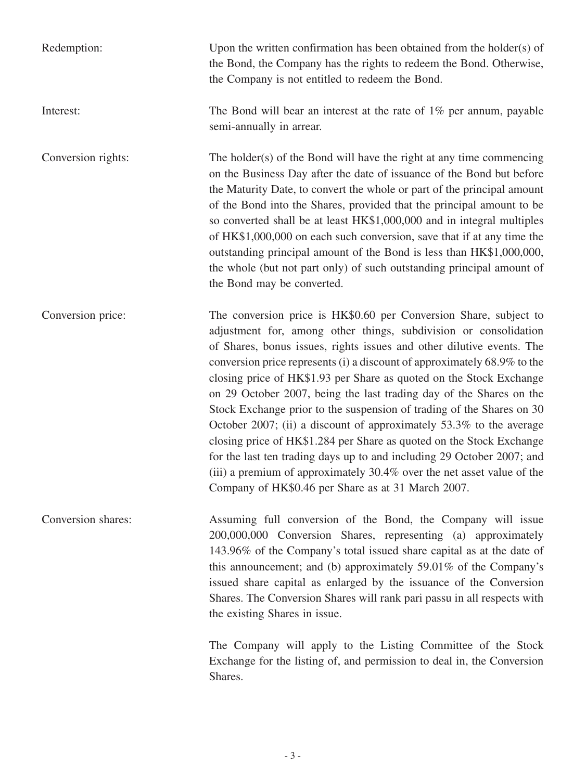| Redemption:        | Upon the written confirmation has been obtained from the holder(s) of<br>the Bond, the Company has the rights to redeem the Bond. Otherwise,<br>the Company is not entitled to redeem the Bond.                                                                                                                                                                                                                                                                                                                                                                                                                                                                                                                                                                                                                                                                            |
|--------------------|----------------------------------------------------------------------------------------------------------------------------------------------------------------------------------------------------------------------------------------------------------------------------------------------------------------------------------------------------------------------------------------------------------------------------------------------------------------------------------------------------------------------------------------------------------------------------------------------------------------------------------------------------------------------------------------------------------------------------------------------------------------------------------------------------------------------------------------------------------------------------|
| Interest:          | The Bond will bear an interest at the rate of $1\%$ per annum, payable<br>semi-annually in arrear.                                                                                                                                                                                                                                                                                                                                                                                                                                                                                                                                                                                                                                                                                                                                                                         |
| Conversion rights: | The holder(s) of the Bond will have the right at any time commencing<br>on the Business Day after the date of issuance of the Bond but before<br>the Maturity Date, to convert the whole or part of the principal amount<br>of the Bond into the Shares, provided that the principal amount to be<br>so converted shall be at least HK\$1,000,000 and in integral multiples<br>of HK\$1,000,000 on each such conversion, save that if at any time the<br>outstanding principal amount of the Bond is less than HK\$1,000,000,<br>the whole (but not part only) of such outstanding principal amount of<br>the Bond may be converted.                                                                                                                                                                                                                                       |
| Conversion price:  | The conversion price is HK\$0.60 per Conversion Share, subject to<br>adjustment for, among other things, subdivision or consolidation<br>of Shares, bonus issues, rights issues and other dilutive events. The<br>conversion price represents (i) a discount of approximately 68.9% to the<br>closing price of HK\$1.93 per Share as quoted on the Stock Exchange<br>on 29 October 2007, being the last trading day of the Shares on the<br>Stock Exchange prior to the suspension of trading of the Shares on 30<br>October 2007; (ii) a discount of approximately 53.3% to the average<br>closing price of HK\$1.284 per Share as quoted on the Stock Exchange<br>for the last ten trading days up to and including 29 October 2007; and<br>(iii) a premium of approximately 30.4% over the net asset value of the<br>Company of HK\$0.46 per Share as at 31 March 2007. |
| Conversion shares: | Assuming full conversion of the Bond, the Company will issue<br>200,000,000 Conversion Shares, representing (a) approximately<br>143.96% of the Company's total issued share capital as at the date of<br>this announcement; and (b) approximately 59.01% of the Company's<br>issued share capital as enlarged by the issuance of the Conversion<br>Shares. The Conversion Shares will rank pari passu in all respects with<br>the existing Shares in issue.                                                                                                                                                                                                                                                                                                                                                                                                               |
|                    | The Company will apply to the Listing Committee of the Stock<br>Exchange for the listing of, and permission to deal in, the Conversion<br>Shares.                                                                                                                                                                                                                                                                                                                                                                                                                                                                                                                                                                                                                                                                                                                          |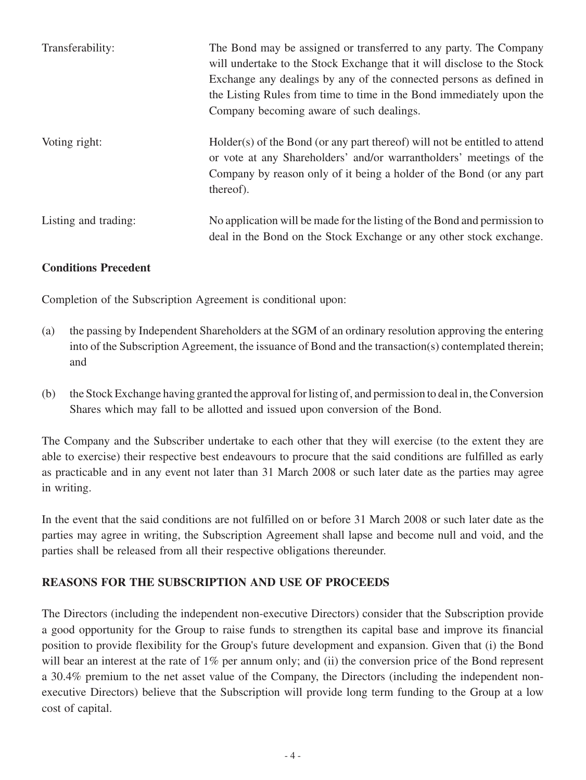| Transferability:     | The Bond may be assigned or transferred to any party. The Company<br>will undertake to the Stock Exchange that it will disclose to the Stock<br>Exchange any dealings by any of the connected persons as defined in<br>the Listing Rules from time to time in the Bond immediately upon the<br>Company becoming aware of such dealings. |
|----------------------|-----------------------------------------------------------------------------------------------------------------------------------------------------------------------------------------------------------------------------------------------------------------------------------------------------------------------------------------|
| Voting right:        | Holder(s) of the Bond (or any part thereof) will not be entitled to attend<br>or vote at any Shareholders' and/or warrantholders' meetings of the<br>Company by reason only of it being a holder of the Bond (or any part<br>thereof).                                                                                                  |
| Listing and trading: | No application will be made for the listing of the Bond and permission to<br>deal in the Bond on the Stock Exchange or any other stock exchange.                                                                                                                                                                                        |

#### **Conditions Precedent**

Completion of the Subscription Agreement is conditional upon:

- (a) the passing by Independent Shareholders at the SGM of an ordinary resolution approving the entering into of the Subscription Agreement, the issuance of Bond and the transaction(s) contemplated therein; and
- (b) the Stock Exchange having granted the approval for listing of, and permission to deal in, the Conversion Shares which may fall to be allotted and issued upon conversion of the Bond.

The Company and the Subscriber undertake to each other that they will exercise (to the extent they are able to exercise) their respective best endeavours to procure that the said conditions are fulfilled as early as practicable and in any event not later than 31 March 2008 or such later date as the parties may agree in writing.

In the event that the said conditions are not fulfilled on or before 31 March 2008 or such later date as the parties may agree in writing, the Subscription Agreement shall lapse and become null and void, and the parties shall be released from all their respective obligations thereunder.

#### **REASONS FOR THE SUBSCRIPTION AND USE OF PROCEEDS**

The Directors (including the independent non-executive Directors) consider that the Subscription provide a good opportunity for the Group to raise funds to strengthen its capital base and improve its financial position to provide flexibility for the Group's future development and expansion. Given that (i) the Bond will bear an interest at the rate of 1% per annum only; and (ii) the conversion price of the Bond represent a 30.4% premium to the net asset value of the Company, the Directors (including the independent nonexecutive Directors) believe that the Subscription will provide long term funding to the Group at a low cost of capital.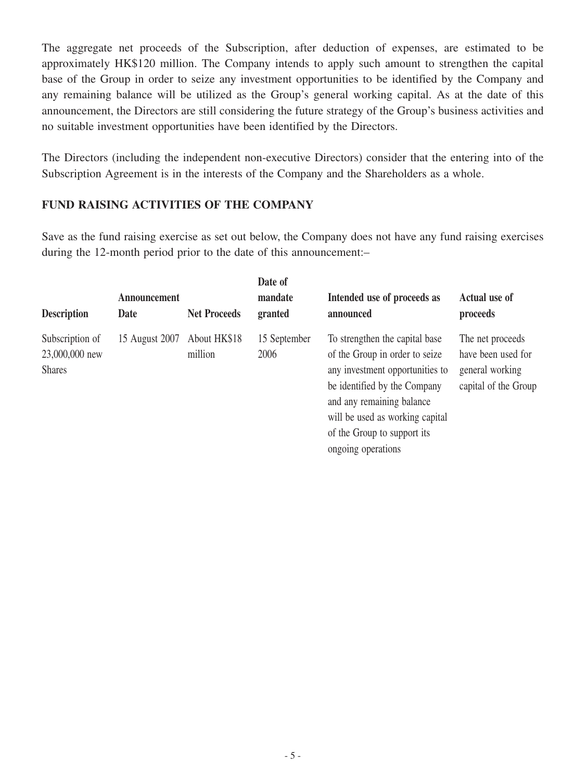The aggregate net proceeds of the Subscription, after deduction of expenses, are estimated to be approximately HK\$120 million. The Company intends to apply such amount to strengthen the capital base of the Group in order to seize any investment opportunities to be identified by the Company and any remaining balance will be utilized as the Group's general working capital. As at the date of this announcement, the Directors are still considering the future strategy of the Group's business activities and no suitable investment opportunities have been identified by the Directors.

The Directors (including the independent non-executive Directors) consider that the entering into of the Subscription Agreement is in the interests of the Company and the Shareholders as a whole.

#### **FUND RAISING ACTIVITIES OF THE COMPANY**

Save as the fund raising exercise as set out below, the Company does not have any fund raising exercises during the 12-month period prior to the date of this announcement:–

| <b>Description</b>                                 | Announcement<br>Date | <b>Net Proceeds</b>     | Date of<br>mandate<br>granted | Intended use of proceeds as<br>announced                                                                                                                                                                                                                 | Actual use of<br>proceeds                                                         |
|----------------------------------------------------|----------------------|-------------------------|-------------------------------|----------------------------------------------------------------------------------------------------------------------------------------------------------------------------------------------------------------------------------------------------------|-----------------------------------------------------------------------------------|
| Subscription of<br>23,000,000 new<br><b>Shares</b> | 15 August 2007       | About HK\$18<br>million | 15 September<br>2006          | To strengthen the capital base<br>of the Group in order to seize<br>any investment opportunities to<br>be identified by the Company<br>and any remaining balance<br>will be used as working capital<br>of the Group to support its<br>ongoing operations | The net proceeds<br>have been used for<br>general working<br>capital of the Group |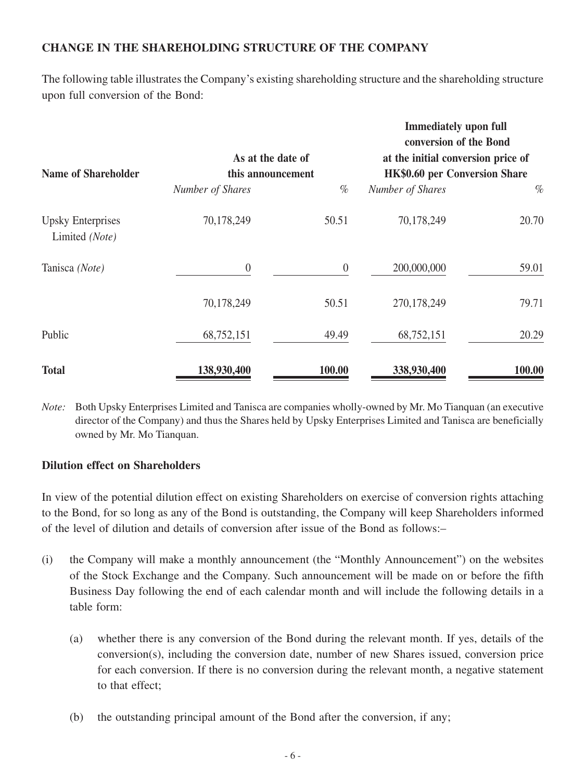## **CHANGE IN THE SHAREHOLDING STRUCTURE OF THE COMPANY**

The following table illustrates the Company's existing shareholding structure and the shareholding structure upon full conversion of the Bond:

|                                            | As at the date of                     |          | <b>Immediately upon full</b><br>conversion of the Bond<br>at the initial conversion price of |        |
|--------------------------------------------|---------------------------------------|----------|----------------------------------------------------------------------------------------------|--------|
| <b>Name of Shareholder</b>                 | this announcement<br>Number of Shares | $\%$     | <b>HK\$0.60 per Conversion Share</b><br>Number of Shares                                     | $\%$   |
| <b>Upsky Enterprises</b><br>Limited (Note) | 70,178,249                            | 50.51    | 70,178,249                                                                                   | 20.70  |
| Tanisca (Note)                             | $\theta$                              | $\theta$ | 200,000,000                                                                                  | 59.01  |
|                                            | 70,178,249                            | 50.51    | 270,178,249                                                                                  | 79.71  |
| Public                                     | 68,752,151                            | 49.49    | 68,752,151                                                                                   | 20.29  |
| <b>Total</b>                               | 138,930,400                           | 100.00   | 338,930,400                                                                                  | 100.00 |

*Note:* Both Upsky Enterprises Limited and Tanisca are companies wholly-owned by Mr. Mo Tianquan (an executive director of the Company) and thus the Shares held by Upsky Enterprises Limited and Tanisca are beneficially owned by Mr. Mo Tianquan.

## **Dilution effect on Shareholders**

In view of the potential dilution effect on existing Shareholders on exercise of conversion rights attaching to the Bond, for so long as any of the Bond is outstanding, the Company will keep Shareholders informed of the level of dilution and details of conversion after issue of the Bond as follows:–

- (i) the Company will make a monthly announcement (the "Monthly Announcement") on the websites of the Stock Exchange and the Company. Such announcement will be made on or before the fifth Business Day following the end of each calendar month and will include the following details in a table form:
	- (a) whether there is any conversion of the Bond during the relevant month. If yes, details of the conversion(s), including the conversion date, number of new Shares issued, conversion price for each conversion. If there is no conversion during the relevant month, a negative statement to that effect;
	- (b) the outstanding principal amount of the Bond after the conversion, if any;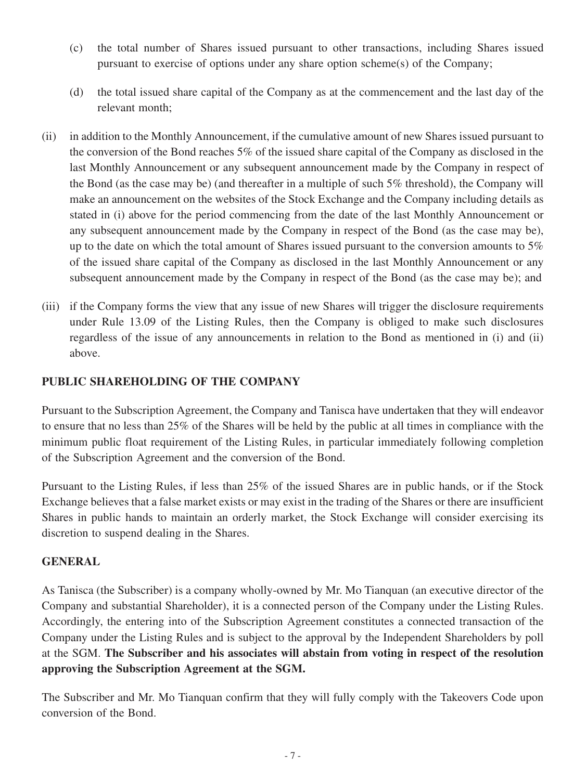- (c) the total number of Shares issued pursuant to other transactions, including Shares issued pursuant to exercise of options under any share option scheme(s) of the Company;
- (d) the total issued share capital of the Company as at the commencement and the last day of the relevant month;
- (ii) in addition to the Monthly Announcement, if the cumulative amount of new Shares issued pursuant to the conversion of the Bond reaches 5% of the issued share capital of the Company as disclosed in the last Monthly Announcement or any subsequent announcement made by the Company in respect of the Bond (as the case may be) (and thereafter in a multiple of such 5% threshold), the Company will make an announcement on the websites of the Stock Exchange and the Company including details as stated in (i) above for the period commencing from the date of the last Monthly Announcement or any subsequent announcement made by the Company in respect of the Bond (as the case may be), up to the date on which the total amount of Shares issued pursuant to the conversion amounts to 5% of the issued share capital of the Company as disclosed in the last Monthly Announcement or any subsequent announcement made by the Company in respect of the Bond (as the case may be); and
- (iii) if the Company forms the view that any issue of new Shares will trigger the disclosure requirements under Rule 13.09 of the Listing Rules, then the Company is obliged to make such disclosures regardless of the issue of any announcements in relation to the Bond as mentioned in (i) and (ii) above.

#### **PUBLIC SHAREHOLDING OF THE COMPANY**

Pursuant to the Subscription Agreement, the Company and Tanisca have undertaken that they will endeavor to ensure that no less than 25% of the Shares will be held by the public at all times in compliance with the minimum public float requirement of the Listing Rules, in particular immediately following completion of the Subscription Agreement and the conversion of the Bond.

Pursuant to the Listing Rules, if less than 25% of the issued Shares are in public hands, or if the Stock Exchange believes that a false market exists or may exist in the trading of the Shares or there are insufficient Shares in public hands to maintain an orderly market, the Stock Exchange will consider exercising its discretion to suspend dealing in the Shares.

#### **GENERAL**

As Tanisca (the Subscriber) is a company wholly-owned by Mr. Mo Tianquan (an executive director of the Company and substantial Shareholder), it is a connected person of the Company under the Listing Rules. Accordingly, the entering into of the Subscription Agreement constitutes a connected transaction of the Company under the Listing Rules and is subject to the approval by the Independent Shareholders by poll at the SGM. **The Subscriber and his associates will abstain from voting in respect of the resolution approving the Subscription Agreement at the SGM.** 

The Subscriber and Mr. Mo Tianquan confirm that they will fully comply with the Takeovers Code upon conversion of the Bond.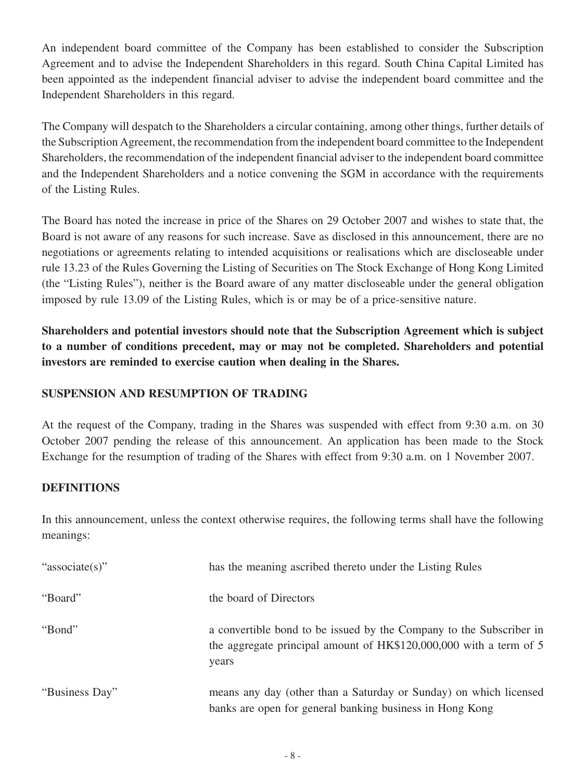An independent board committee of the Company has been established to consider the Subscription Agreement and to advise the Independent Shareholders in this regard. South China Capital Limited has been appointed as the independent financial adviser to advise the independent board committee and the Independent Shareholders in this regard.

The Company will despatch to the Shareholders a circular containing, among other things, further details of the Subscription Agreement, the recommendation from the independent board committee to the Independent Shareholders, the recommendation of the independent financial adviser to the independent board committee and the Independent Shareholders and a notice convening the SGM in accordance with the requirements of the Listing Rules.

The Board has noted the increase in price of the Shares on 29 October 2007 and wishes to state that, the Board is not aware of any reasons for such increase. Save as disclosed in this announcement, there are no negotiations or agreements relating to intended acquisitions or realisations which are discloseable under rule 13.23 of the Rules Governing the Listing of Securities on The Stock Exchange of Hong Kong Limited (the "Listing Rules"), neither is the Board aware of any matter discloseable under the general obligation imposed by rule 13.09 of the Listing Rules, which is or may be of a price-sensitive nature.

**Shareholders and potential investors should note that the Subscription Agreement which is subject to a number of conditions precedent, may or may not be completed. Shareholders and potential investors are reminded to exercise caution when dealing in the Shares.**

#### **SUSPENSION AND RESUMPTION OF TRADING**

At the request of the Company, trading in the Shares was suspended with effect from 9:30 a.m. on 30 October 2007 pending the release of this announcement. An application has been made to the Stock Exchange for the resumption of trading of the Shares with effect from 9:30 a.m. on 1 November 2007.

#### **DEFINITIONS**

In this announcement, unless the context otherwise requires, the following terms shall have the following meanings:

| "associate(s)" | has the meaning ascribed thereto under the Listing Rules                                                                                           |
|----------------|----------------------------------------------------------------------------------------------------------------------------------------------------|
| "Board"        | the board of Directors                                                                                                                             |
| "Bond"         | a convertible bond to be issued by the Company to the Subscriber in<br>the aggregate principal amount of HK\$120,000,000 with a term of 5<br>years |
| "Business Day" | means any day (other than a Saturday or Sunday) on which licensed<br>banks are open for general banking business in Hong Kong                      |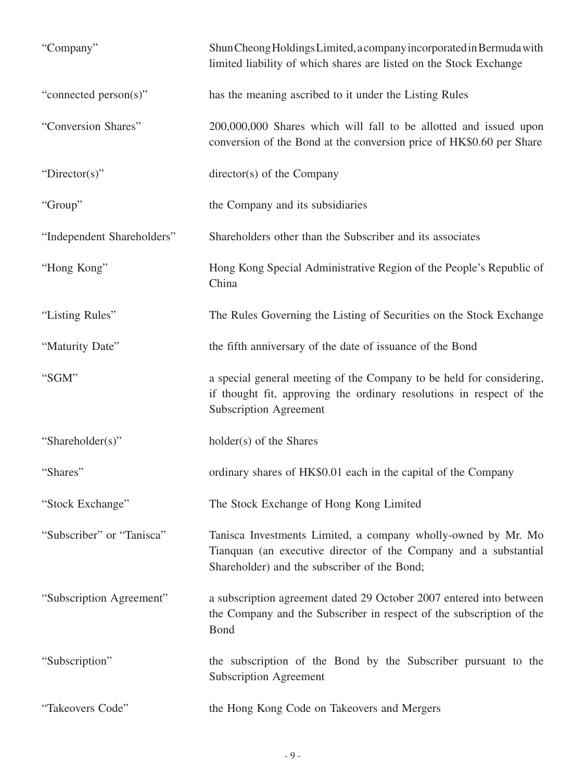| "Company"                  | Shun Cheong Holdings Limited, a company incorporated in Bermuda with<br>limited liability of which shares are listed on the Stock Exchange                                        |
|----------------------------|-----------------------------------------------------------------------------------------------------------------------------------------------------------------------------------|
| "connected person(s)"      | has the meaning ascribed to it under the Listing Rules                                                                                                                            |
| "Conversion Shares"        | 200,000,000 Shares which will fall to be allotted and issued upon<br>conversion of the Bond at the conversion price of HK\$0.60 per Share                                         |
| "Director(s)"              | director(s) of the Company                                                                                                                                                        |
| "Group"                    | the Company and its subsidiaries                                                                                                                                                  |
| "Independent Shareholders" | Shareholders other than the Subscriber and its associates                                                                                                                         |
| "Hong Kong"                | Hong Kong Special Administrative Region of the People's Republic of<br>China                                                                                                      |
| "Listing Rules"            | The Rules Governing the Listing of Securities on the Stock Exchange                                                                                                               |
| "Maturity Date"            | the fifth anniversary of the date of issuance of the Bond                                                                                                                         |
| "SGM"                      | a special general meeting of the Company to be held for considering,<br>if thought fit, approving the ordinary resolutions in respect of the<br><b>Subscription Agreement</b>     |
| "Shareholder(s)"           | holder(s) of the Shares                                                                                                                                                           |
| "Shares"                   | ordinary shares of HK\$0.01 each in the capital of the Company                                                                                                                    |
| "Stock Exchange"           | The Stock Exchange of Hong Kong Limited                                                                                                                                           |
| "Subscriber" or "Tanisca"  | Tanisca Investments Limited, a company wholly-owned by Mr. Mo<br>Tianquan (an executive director of the Company and a substantial<br>Shareholder) and the subscriber of the Bond; |
| "Subscription Agreement"   | a subscription agreement dated 29 October 2007 entered into between<br>the Company and the Subscriber in respect of the subscription of the<br><b>Bond</b>                        |
| "Subscription"             | the subscription of the Bond by the Subscriber pursuant to the<br><b>Subscription Agreement</b>                                                                                   |
| "Takeovers Code"           | the Hong Kong Code on Takeovers and Mergers                                                                                                                                       |